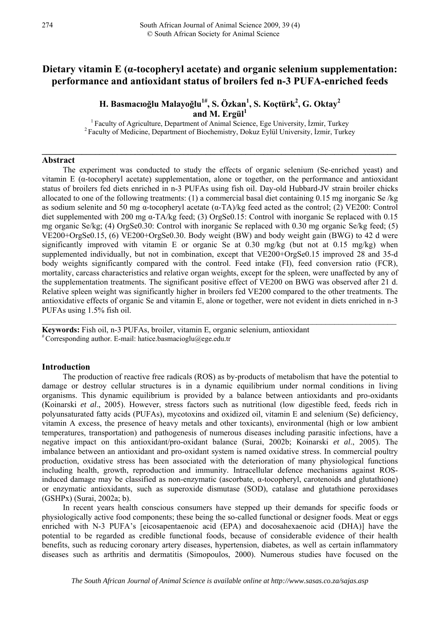# **Dietary vitamin E (α-tocopheryl acetate) and organic selenium supplementation: performance and antioxidant status of broilers fed n-3 PUFA-enriched feeds**

# $\mathbf H$ . Basmacıoğlu Malayoğlu $^{1\#}$ , S. Özkan $^{1}$ , S. Koçtürk $^{2}$ , G. Oktay $^{2}$ and M. Ergül<sup>1</sup><br><sup>1</sup> Faculty of Agriculture, Department of Animal Science, Ege University, İzmir, Turkey

<sup>2</sup> Faculty of Medicine, Department of Biochemistry, Dokuz Eylül University, İzmir, Turkey

**\_\_\_\_\_\_\_\_\_\_\_\_\_\_\_\_\_\_\_\_\_\_\_\_\_\_\_\_\_\_\_\_\_\_\_\_\_\_\_\_\_\_\_\_\_\_\_\_\_\_\_\_\_\_\_\_\_\_\_\_\_\_\_\_\_\_\_\_\_\_\_\_\_\_\_\_\_\_\_\_** 

## **Abstract**

The experiment was conducted to study the effects of organic selenium (Se-enriched yeast) and vitamin E (α-tocopheryl acetate) supplementation, alone or together, on the performance and antioxidant status of broilers fed diets enriched in n-3 PUFAs using fish oil. Day-old Hubbard-JV strain broiler chicks allocated to one of the following treatments: (1) a commercial basal diet containing 0.15 mg inorganic Se /kg as sodium selenite and 50 mg α-tocopheryl acetate (α-TA)/kg feed acted as the control; (2) VE200: Control diet supplemented with 200 mg α-TA/kg feed; (3) OrgSe0.15: Control with inorganic Se replaced with 0.15 mg organic Se/kg; (4) OrgSe0.30: Control with inorganic Se replaced with 0.30 mg organic Se/kg feed; (5) VE200+OrgSe0.15, (6) VE200+OrgSe0.30. Body weight (BW) and body weight gain (BWG) to 42 d were significantly improved with vitamin E or organic Se at  $0.30 \text{ mg/kg}$  (but not at  $0.15 \text{ mg/kg}$ ) when supplemented individually, but not in combination, except that VE200+OrgSe0.15 improved 28 and 35-d body weights significantly compared with the control. Feed intake (FI), feed conversion ratio (FCR), mortality, carcass characteristics and relative organ weights, except for the spleen, were unaffected by any of the supplementation treatments. The significant positive effect of VE200 on BWG was observed after 21 d. Relative spleen weight was significantly higher in broilers fed VE200 compared to the other treatments. The antioxidative effects of organic Se and vitamin E, alone or together, were not evident in diets enriched in n-3 PUFAs using 1.5% fish oil.

 $\mathcal{L}_\mathcal{L} = \mathcal{L}_\mathcal{L} = \mathcal{L}_\mathcal{L} = \mathcal{L}_\mathcal{L} = \mathcal{L}_\mathcal{L} = \mathcal{L}_\mathcal{L} = \mathcal{L}_\mathcal{L} = \mathcal{L}_\mathcal{L} = \mathcal{L}_\mathcal{L} = \mathcal{L}_\mathcal{L} = \mathcal{L}_\mathcal{L} = \mathcal{L}_\mathcal{L} = \mathcal{L}_\mathcal{L} = \mathcal{L}_\mathcal{L} = \mathcal{L}_\mathcal{L} = \mathcal{L}_\mathcal{L} = \mathcal{L}_\mathcal{L}$ 

**Keywords:** Fish oil, n-3 PU[FAs, broiler, vitamin E, organi](mailto:hatice.basmacioglu@ege.edu.tr)c selenium, antioxidant # Corresponding author. E-mail: hatice.basmacioglu@ege.edu.tr

#### **Introduction**

The production of reactive free radicals (ROS) as by-products of metabolism that have the potential to damage or destroy cellular structures is in a dynamic equilibrium under normal conditions in living organisms. This dynamic equilibrium is provided by a balance between antioxidants and pro-oxidants (Koinarski *et al*., 2005). However, stress factors such as nutritional (low digestible feed, feeds rich in polyunsaturated fatty acids (PUFAs), mycotoxins and oxidized oil, vitamin E and selenium (Se) deficiency, vitamin A excess, the presence of heavy metals and other toxicants), environmental (high or low ambient temperatures, transportation) and pathogenesis of numerous diseases including parasitic infections, have a negative impact on this antioxidant/pro-oxidant balance (Surai, 2002b; Koinarski *et al*., 2005). The imbalance between an antioxidant and pro-oxidant system is named oxidative stress. In commercial poultry production, oxidative stress has been associated with the deterioration of many physiological functions including health, growth, reproduction and immunity. Intracellular defence mechanisms against ROSinduced damage may be classified as non-enzymatic (ascorbate,  $\alpha$ -tocopheryl, carotenoids and glutathione) or enzymatic antioxidants, such as superoxide dismutase (SOD), catalase and glutathione peroxidases (GSHPx) (Surai, 2002a; b).

In recent years health conscious consumers have stepped up their demands for specific foods or physiologically active food components; these being the so-called functional or designer foods. Meat or eggs enriched with N-3 PUFA's [eicosapentaenoic acid (EPA) and docosahexaenoic acid (DHA)] have the potential to be regarded as credible functional foods, because of considerable evidence of their health benefits, such as reducing coronary artery diseases, hypertension, diabetes, as well as certain inflammatory diseases such as arthritis and dermatitis (Simopoulos, 2000). Numerous studies have focused on the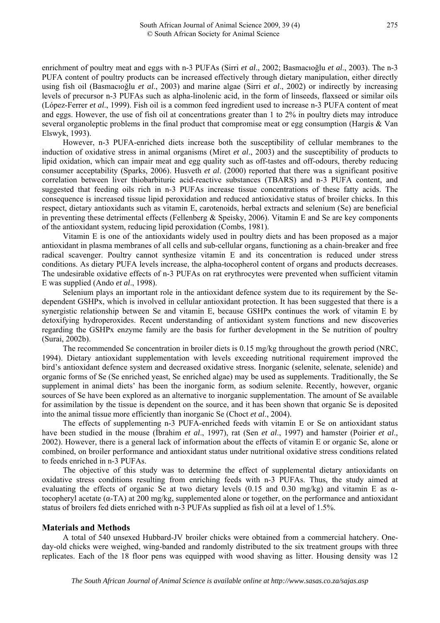enrichment of poultry meat and eggs with n-3 PUFAs (Sirri *et al*., 2002; Basmacıoğlu *et al*., 2003). The n-3 PUFA content of poultry products can be increased effectively through dietary manipulation, either directly using fish oil (Basmacıoğlu *et al*., 2003) and marine algae (Sirri *et al*., 2002) or indirectly by increasing levels of precursor n-3 PUFAs such as alpha-linolenic acid, in the form of linseeds, flaxseed or similar oils (López-Ferrer *et al*., 1999). Fish oil is a common feed ingredient used to increase n-3 PUFA content of meat and eggs. However, the use of fish oil at concentrations greater than 1 to 2% in poultry diets may introduce several organoleptic problems in the final product that compromise meat or egg consumption (Hargis & Van Elswyk, 1993).

However, n-3 PUFA-enriched diets increase both the susceptibility of cellular membranes to the induction of oxidative stress in animal organisms (Miret *et al*., 2003) and the susceptibility of products to lipid oxidation, which can impair meat and egg quality such as off-tastes and off-odours, thereby reducing consumer acceptability (Sparks, 2006). Husveth *et al*. (2000) reported that there was a significant positive correlation between liver thiobarbituric acid-reactive substances (TBARS) and n-3 PUFA content, and suggested that feeding oils rich in n-3 PUFAs increase tissue concentrations of these fatty acids. The consequence is increased tissue lipid peroxidation and reduced antioxidative status of broiler chicks. In this respect, dietary antioxidants such as vitamin E, carotenoids, herbal extracts and selenium (Se) are beneficial in preventing these detrimental effects (Fellenberg & Speisky, 2006). Vitamin E and Se are key components of the antioxidant system, reducing lipid peroxidation (Combs, 1981).

Vitamin E is one of the antioxidants widely used in poultry diets and has been proposed as a major antioxidant in plasma membranes of all cells and sub-cellular organs, functioning as a chain-breaker and free radical scavenger. Poultry cannot synthesize vitamin E and its concentration is reduced under stress conditions. As dietary PUFA levels increase, the alpha-tocopherol content of organs and products decreases. The undesirable oxidative effects of n-3 PUFAs on rat erythrocytes were prevented when sufficient vitamin E was supplied (Ando *et al*., 1998).

Selenium plays an important role in the antioxidant defence system due to its requirement by the Sedependent GSHPx, which is involved in cellular antioxidant protection. It has been suggested that there is a synergistic relationship between Se and vitamin E, because GSHPx continues the work of vitamin E by detoxifying hydroperoxides. Recent understanding of antioxidant system functions and new discoveries regarding the GSHPx enzyme family are the basis for further development in the Se nutrition of poultry (Surai, 2002b).

The recommended Se concentration in broiler diets is 0.15 mg/kg throughout the growth period (NRC, 1994). Dietary antioxidant supplementation with levels exceeding nutritional requirement improved the bird's antioxidant defence system and decreased oxidative stress. Inorganic (selenite, selenate, selenide) and organic forms of Se (Se enriched yeast, Se enriched algae) may be used as supplements. Traditionally, the Se supplement in animal diets' has been the inorganic form, as sodium selenite. Recently, however, organic sources of Se have been explored as an alternative to inorganic supplementation. The amount of Se available for assimilation by the tissue is dependent on the source, and it has been shown that organic Se is deposited into the animal tissue more efficiently than inorganic Se (Choct *et al*., 2004).

The effects of supplementing n-3 PUFA-enriched feeds with vitamin E or Se on antioxidant status have been studied in the mouse (İbrahim *et al*., 1997), rat (Sen *et al*., 1997) and hamster (Poirier *et al*., 2002). However, there is a general lack of information about the effects of vitamin E or organic Se, alone or combined, on broiler performance and antioxidant status under nutritional oxidative stress conditions related to feeds enriched in n-3 PUFAs.

The objective of this study was to determine the effect of supplemental dietary antioxidants on oxidative stress conditions resulting from enriching feeds with n-3 PUFAs. Thus, the study aimed at evaluating the effects of organic Se at two dietary levels (0.15 and 0.30 mg/kg) and vitamin E as  $\alpha$ tocopheryl acetate  $(\alpha$ -TA) at 200 mg/kg, supplemented alone or together, on the performance and antioxidant status of broilers fed diets enriched with n-3 PUFAs supplied as fish oil at a level of 1.5%.

# **Materials and Methods**

A total of 540 unsexed Hubbard-JV broiler chicks were obtained from a commercial hatchery. Oneday-old chicks were weighed, wing-banded and randomly distributed to the six treatment groups with three replicates. Each of the 18 floor pens was equipped with wood shaving as litter. Housing density was 12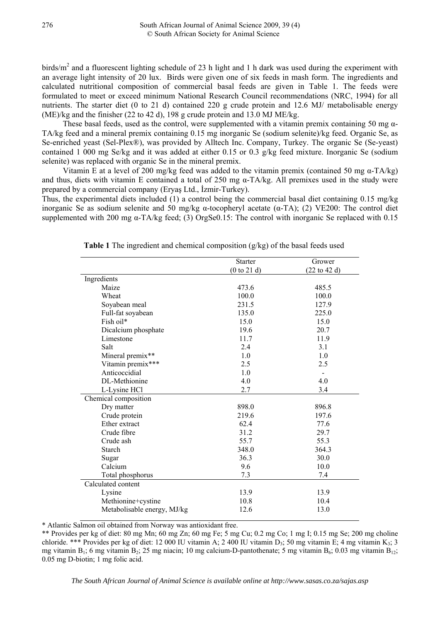birds/ $m<sup>2</sup>$  and a fluorescent lighting schedule of 23 h light and 1 h dark was used during the experiment with an average light intensity of 20 lux. Birds were given one of six feeds in mash form. The ingredients and calculated nutritional composition of commercial basal feeds are given in Table 1. The feeds were formulated to meet or exceed minimum National Research Council recommendations (NRC, 1994) for all nutrients. The starter diet (0 to 21 d) contained 220 g crude protein and 12.6 MJ/ metabolisable energy (ME)/kg and the finisher (22 to 42 d), 198 g crude protein and 13.0 MJ ME/kg.

These basal feeds, used as the control, were supplemented with a vitamin premix containing 50 mg  $\alpha$ -TA/kg feed and a mineral premix containing 0.15 mg inorganic Se (sodium selenite)/kg feed. Organic Se, as Se-enriched yeast (Sel-Plex®), was provided by Alltech Inc. Company, Turkey. The organic Se (Se-yeast) contained 1 000 mg Se/kg and it was added at either 0.15 or 0.3 g/kg feed mixture. Inorganic Se (sodium selenite) was replaced with organic Se in the mineral premix.

Vitamin E at a level of 200 mg/kg feed was added to the vitamin premix (contained 50 mg α-TA/kg) and thus, diets with vitamin E contained a total of 250 mg  $\alpha$ -TA/kg. All premixes used in the study were prepared by a commercial company (Eryaş Ltd., İzmir-Turkey).

Thus, the experimental diets included (1) a control being the commercial basal diet containing 0.15 mg/kg inorganic Se as sodium selenite and 50 mg/kg α-tocopheryl acetate (α-TA); (2) VE200: The control diet supplemented with 200 mg  $\alpha$ -TA/kg feed; (3) OrgSe0.15: The control with inorganic Se replaced with 0.15

|                             | <b>Starter</b> | Grower                          |
|-----------------------------|----------------|---------------------------------|
|                             | (0 to 21 d)    | $(22 \text{ to } 42 \text{ d})$ |
| Ingredients                 |                |                                 |
| Maize                       | 473.6          | 485.5                           |
| Wheat                       | 100.0          | 100.0                           |
| Soyabean meal               | 231.5          | 127.9                           |
| Full-fat soyabean           | 135.0          | 225.0                           |
| Fish oil*                   | 15.0           | 15.0                            |
| Dicalcium phosphate         | 19.6           | 20.7                            |
| Limestone                   | 11.7           | 11.9                            |
| Salt                        | 2.4            | 3.1                             |
| Mineral premix**            | 1.0            | 1.0                             |
| Vitamin premix***           | 2.5            | 2.5                             |
| Anticoccidial               | 1.0            |                                 |
| DL-Methionine               | 4.0            | 4.0                             |
| L-Lysine HCl                | 2.7            | 3.4                             |
| Chemical composition        |                |                                 |
| Dry matter                  | 898.0          | 896.8                           |
| Crude protein               | 219.6          | 197.6                           |
| Ether extract               | 62.4           | 77.6                            |
| Crude fibre                 | 31.2           | 29.7                            |
| Crude ash                   | 55.7           | 55.3                            |
| <b>Starch</b>               | 348.0          | 364.3                           |
| Sugar                       | 36.3           | 30.0                            |
| Calcium                     | 9.6            | 10.0                            |
| Total phosphorus            | 7.3            | 7.4                             |
| Calculated content          |                |                                 |
| Lysine                      | 13.9           | 13.9                            |
| Methionine+cystine          | 10.8           | 10.4                            |
| Metabolisable energy, MJ/kg | 12.6           | 13.0                            |
|                             |                |                                 |

**Table 1** The ingredient and chemical composition (g/kg) of the basal feeds used

\* Atlantic Salmon oil obtained from Norway was antioxidant free.

\*\* Provides per kg of diet: 80 mg Mn; 60 mg Zn; 60 mg Fe; 5 mg Cu; 0.2 mg Co; 1 mg I; 0.15 mg Se; 200 mg choline chloride. \*\*\* Provides per kg of diet: 12 000 IU vitamin A; 2 400 IU vitamin D<sub>3</sub>; 50 mg vitamin E; 4 mg vitamin K<sub>3</sub>; 3 mg vitamin  $B_1$ ; 6 mg vitamin  $B_2$ ; 25 mg niacin; 10 mg calcium-D-pantothenate; 5 mg vitamin  $B_6$ ; 0.03 mg vitamin  $B_{12}$ ; 0.05 mg D-biotin; 1 mg folic acid.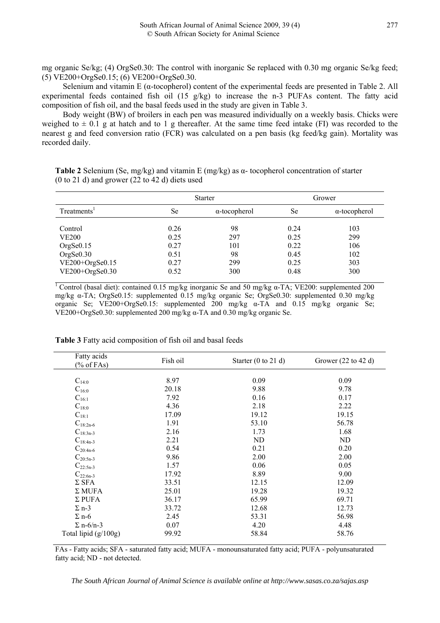mg organic Se/kg; (4) OrgSe0.30: The control with inorganic Se replaced with 0.30 mg organic Se/kg feed; (5) VE200+OrgSe0.15; (6) VE200+OrgSe0.30.

Selenium and vitamin E ( $\alpha$ -tocopherol) content of the experimental feeds are presented in Table 2. All experimental feeds contained fish oil (15 g/kg) to increase the n-3 PUFAs content. The fatty acid composition of fish oil, and the basal feeds used in the study are given in Table 3.

Body weight (BW) of broilers in each pen was measured individually on a weekly basis. Chicks were weighed to  $\pm$  0.1 g at hatch and to 1 g thereafter. At the same time feed intake (FI) was recorded to the nearest g and feed conversion ratio (FCR) was calculated on a pen basis (kg feed/kg gain). Mortality was recorded daily.

|                         |      | <b>Starter</b>       | Grower |                      |  |
|-------------------------|------|----------------------|--------|----------------------|--|
| Treatments <sup>1</sup> | Se   | $\alpha$ -tocopherol | Se     | $\alpha$ -tocopherol |  |
| Control                 | 0.26 | 98                   | 0.24   | 103                  |  |
| <b>VE200</b>            | 0.25 | 297                  | 0.25   | 299                  |  |
| OrgSe0.15               | 0.27 | 101                  | 0.22   | 106                  |  |
| OrgSe0.30               | 0.51 | 98                   | 0.45   | 102                  |  |
| VE200+OrgSe0.15         | 0.27 | 299                  | 0.25   | 303                  |  |
| $VE200+OrgSe0.30$       | 0.52 | 300                  | 0.48   | 300                  |  |

**Table 2** Selenium (Se, mg/kg) and vitamin E (mg/kg) as α- tocopherol concentration of starter (0 to 21 d) and grower (22 to 42 d) diets used

1 Control (basal diet): contained 0.15 mg/kg inorganic Se and 50 mg/kg α-TA; VE200: supplemented 200 mg/kg α-TA; OrgSe0.15: supplemented 0.15 mg/kg organic Se; OrgSe0.30: supplemented 0.30 mg/kg organic Se; VE200+OrgSe0.15: supplemented 200 mg/kg α-TA and 0.15 mg/kg organic Se; VE200+OrgSe0.30: supplemented 200 mg/kg α-TA and 0.30 mg/kg organic Se.

| Fatty acids<br>$(\%$ of FAs) | Fish oil | Starter $(0 \text{ to } 21 \text{ d})$ | Grower $(22 \text{ to } 42 \text{ d})$ |
|------------------------------|----------|----------------------------------------|----------------------------------------|
|                              |          |                                        |                                        |
| $C_{14:0}$                   | 8.97     | 0.09                                   | 0.09                                   |
| $C_{16:0}$                   | 20.18    | 9.88                                   | 9.78                                   |
| $C_{16:1}$                   | 7.92     | 0.16                                   | 0.17                                   |
| $C_{18:0}$                   | 4.36     | 2.18                                   | 2.22                                   |
| $C_{18:1}$                   | 17.09    | 19.12                                  | 19.15                                  |
| $C_{18:2n-6}$                | 1.91     | 53.10                                  | 56.78                                  |
| $C_{18:3n-3}$                | 2.16     | 1.73                                   | 1.68                                   |
| $C_{18:4n-3}$                | 2.21     | ND                                     | ND                                     |
| $C_{20:4n-6}$                | 0.54     | 0.21                                   | 0.20                                   |
| $C_{20:5n-3}$                | 9.86     | 2.00                                   | 2.00                                   |
| $C_{22:5n-3}$                | 1.57     | 0.06                                   | 0.05                                   |
| $C_{22:6n-3}$                | 17.92    | 8.89                                   | 9.00                                   |
| $\Sigma$ SFA                 | 33.51    | 12.15                                  | 12.09                                  |
| $\Sigma$ MUFA                | 25.01    | 19.28                                  | 19.32                                  |
| $\Sigma$ PUFA                | 36.17    | 65.99                                  | 69.71                                  |
| $\Sigma$ n-3                 | 33.72    | 12.68                                  | 12.73                                  |
| $\Sigma$ n-6                 | 2.45     | 53.31                                  | 56.98                                  |
| $\Sigma$ n-6/n-3             | 0.07     | 4.20                                   | 4.48                                   |
| Total lipid (g/100g)         | 99.92    | 58.84                                  | 58.76                                  |

**Table 3** Fatty acid composition of fish oil and basal feeds

FAs - Fatty acids; SFA - saturated fatty acid; MUFA - monounsaturated fatty acid; PUFA - polyunsaturated fatty acid; ND - not detected.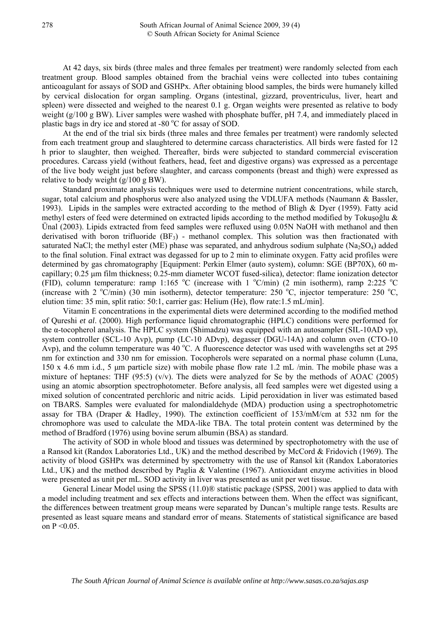At 42 days, six birds (three males and three females per treatment) were randomly selected from each treatment group. Blood samples obtained from the brachial veins were collected into tubes containing anticoagulant for assays of SOD and GSHPx. After obtaining blood samples, the birds were humanely killed by cervical dislocation for organ sampling. Organs (intestinal, gizzard, proventriculus, liver, heart and spleen) were dissected and weighed to the nearest 0.1 g. Organ weights were presented as relative to body weight (g/100 g BW). Liver samples were washed with phosphate buffer, pH 7.4, and immediately placed in plastic bags in dry ice and stored at -80 °C for assay of SOD.

At the end of the trial six birds (three males and three females per treatment) were randomly selected from each treatment group and slaughtered to determine carcass characteristics. All birds were fasted for 12 h prior to slaughter, then weighed. Thereafter, birds were subjected to standard commercial evisceration procedures. Carcass yield (without feathers, head, feet and digestive organs) was expressed as a percentage of the live body weight just before slaughter, and carcass components (breast and thigh) were expressed as relative to body weight (g/100 g BW).

Standard proximate analysis techniques were used to determine nutrient concentrations, while starch, sugar, total calcium and phosphorus were also analyzed using the VDLUFA methods (Naumann & Bassler, 1993). Lipids in the samples were extracted according to the method of Bligh & Dyer (1959). Fatty acid methyl esters of feed were determined on extracted lipids according to the method modified by Tokuşoğlu & Ünal (2003). Lipids extracted from feed samples were refluxed using 0.05N NaOH with methanol and then derivatised with boron trifluoride  $(BF_3)$  - methanol complex. This solution was then fractionated with saturated NaCl; the methyl ester (ME) phase was separated, and anhydrous sodium sulphate (Na<sub>2</sub>SO<sub>4</sub>) added to the final solution. Final extract was degassed for up to 2 min to eliminate oxygen. Fatty acid profiles were determined by gas chromatography [Equipment: Perkin Elmer (auto system), column: SGE (BP70X), 60 mcapillary; 0.25 μm film thickness; 0.25-mm diameter WCOT fused-silica), detector: flame ionization detector (FID), column temperature: ramp 1:165 °C (increase with 1 °C/min) (2 min isotherm), ramp 2:225 °C (increase with 2  $\rm^oC/min$ ) (30 min isotherm), detector temperature: 250  $\rm^oC$ , injector temperature: 250  $\rm^oC$ , elution time: 35 min, split ratio: 50:1, carrier gas: Helium (He), flow rate:1.5 mL/min].

Vitamin E concentrations in the experimental diets were determined according to the modified method of Qureshi *et al*. (2000). High performance liquid chromatographic (HPLC) conditions were performed for the α-tocopherol analysis. The HPLC system (Shimadzu) was equipped with an autosampler (SIL-10AD vp), system controller (SCL-10 Avp), pump (LC-10 ADvp), degasser (DGU-14A) and column oven (CTO-10 Avp), and the column temperature was  $40^{\circ}$ C. A fluorescence detector was used with wavelengths set at 295 nm for extinction and 330 nm for emission. Tocopherols were separated on a normal phase column (Luna, 150 x 4.6 mm i.d., 5 μm particle size) with mobile phase flow rate 1.2 mL /min. The mobile phase was a mixture of heptanes: THF  $(95.5)$  (v/v). The diets were analyzed for Se by the methods of AOAC (2005) using an atomic absorption spectrophotometer. Before analysis, all feed samples were wet digested using a mixed solution of concentrated perchloric and nitric acids. Lipid peroxidation in liver was estimated based on TBARS. Samples were evaluated for malondialdehyde (MDA) production using a spectrophotometric assay for TBA (Draper & Hadley, 1990). The extinction coefficient of 153/mM/cm at 532 nm for the chromophore was used to calculate the MDA-like TBA. The total protein content was determined by the method of Bradford (1976) using bovine serum albumin (BSA) as standard.

The activity of SOD in whole blood and tissues was determined by spectrophotometry with the use of a Ransod kit (Randox Laboratories Ltd., UK) and the method described by McCord & Fridovich (1969). The activity of blood GSHPx was determined by spectrometry with the use of Ransol kit (Randox Laboratories Ltd., UK) and the method described by Paglia & Valentine (1967). Antioxidant enzyme activities in blood were presented as unit per mL. SOD activity in liver was presented as unit per wet tissue.

General Linear Model using the SPSS (11.0)® statistic package (SPSS, 2001) was applied to data with a model including treatment and sex effects and interactions between them. When the effect was significant, the differences between treatment group means were separated by Duncan's multiple range tests. Results are presented as least square means and standard error of means. Statements of statistical significance are based on  $P < 0.05$ .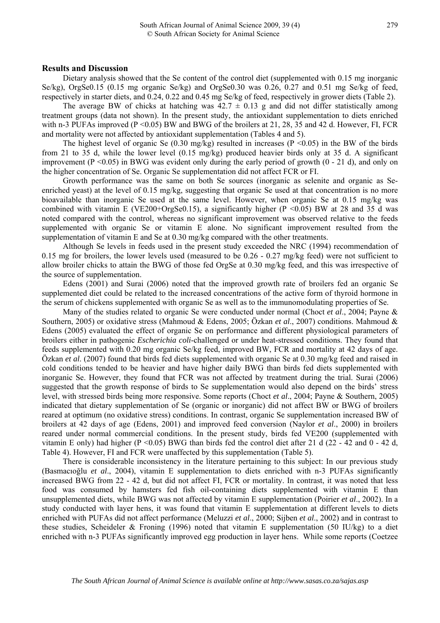Dietary analysis showed that the Se content of the control diet (supplemented with 0.15 mg inorganic Se/kg), OrgSe0.15 (0.15 mg organic Se/kg) and OrgSe0.30 was 0.26, 0.27 and 0.51 mg Se/kg of feed, respectively in starter diets, and 0.24, 0.22 and 0.45 mg Se/kg of feed, respectively in grower diets (Table 2).

The average BW of chicks at hatching was  $42.7 \pm 0.13$  g and did not differ statistically among treatment groups (data not shown). In the present study, the antioxidant supplementation to diets enriched with n-3 PUFAs improved  $(P \le 0.05)$  BW and BWG of the broilers at 21, 28, 35 and 42 d. However, FI, FCR and mortality were not affected by antioxidant supplementation (Tables 4 and 5).

The highest level of organic Se  $(0.30 \text{ mg/kg})$  resulted in increases  $(P \le 0.05)$  in the BW of the birds from 21 to 35 d, while the lower level (0.15 mg/kg) produced heavier birds only at 35 d. A significant improvement (P  $\leq$  0.05) in BWG was evident only during the early period of growth (0 - 21 d), and only on the higher concentration of Se. Organic Se supplementation did not affect FCR or FI.

Growth performance was the same on both Se sources (inorganic as selenite and organic as Seenriched yeast) at the level of 0.15 mg/kg, suggesting that organic Se used at that concentration is no more bioavailable than inorganic Se used at the same level. However, when organic Se at 0.15 mg/kg was combined with vitamin E (VE200+OrgSe0.15), a significantly higher ( $P \le 0.05$ ) BW at 28 and 35 d was noted compared with the control, whereas no significant improvement was observed relative to the feeds supplemented with organic Se or vitamin E alone. No significant improvement resulted from the supplementation of vitamin E and Se at 0.30 mg/kg compared with the other treatments.

Although Se levels in feeds used in the present study exceeded the NRC (1994) recommendation of 0.15 mg for broilers, the lower levels used (measured to be 0.26 - 0.27 mg/kg feed) were not sufficient to allow broiler chicks to attain the BWG of those fed OrgSe at 0.30 mg/kg feed, and this was irrespective of the source of supplementation.

Edens (2001) and Surai (2006) noted that the improved growth rate of broilers fed an organic Se supplemented diet could be related to the increased concentrations of the active form of thyroid hormone in the serum of chickens supplemented with organic Se as well as to the immunomodulating properties of Se.

Many of the studies related to organic Se were conducted under normal (Choct *et al*., 2004; Payne & Southern, 2005) or oxidative stress (Mahmoud & Edens, 2005; Özkan *et al*., 2007) conditions. Mahmoud & Edens (2005) evaluated the effect of organic Se on performance and different physiological parameters of broilers either in pathogenic *Escherichia coli*-challenged or under heat-stressed conditions. They found that feeds supplemented with 0.20 mg organic Se/kg feed, improved BW, FCR and mortality at 42 days of age. Özkan *et al*. (2007) found that birds fed diets supplemented with organic Se at 0.30 mg/kg feed and raised in cold conditions tended to be heavier and have higher daily BWG than birds fed diets supplemented with inorganic Se. However, they found that FCR was not affected by treatment during the trial. Surai (2006) suggested that the growth response of birds to Se supplementation would also depend on the birds' stress level, with stressed birds being more responsive. Some reports (Choct *et al*., 2004; Payne & Southern, 2005) indicated that dietary supplementation of Se (organic or inorganic) did not affect BW or BWG of broilers reared at optimum (no oxidative stress) conditions. In contrast, organic Se supplementation increased BW of broilers at 42 days of age (Edens, 2001) and improved feed conversion (Naylor *et al*., 2000) in broilers reared under normal commercial conditions. In the present study, birds fed VE200 (supplemented with vitamin E only) had higher (P < 0.05) BWG than birds fed the control diet after 21 d (22 - 42 and 0 - 42 d, Table 4). However, FI and FCR were unaffected by this supplementation (Table 5).

There is considerable inconsistency in the literature pertaining to this subject: In our previous study (Basmacıoğlu *et al*., 2004), vitamin E supplementation to diets enriched with n-3 PUFAs significantly increased BWG from 22 - 42 d, but did not affect FI, FCR or mortality. In contrast, it was noted that less food was consumed by hamsters fed fish oil-containing diets supplemented with vitamin E than unsupplemented diets, while BWG was not affected by vitamin E supplementation (Poirier *et al*., 2002). In a study conducted with layer hens, it was found that vitamin E supplementation at different levels to diets enriched with PUFAs did not affect performance (Meluzzi *et al*., 2000; Sijben *et al*., 2002) and in contrast to these studies, Scheideler & Froning (1996) noted that vitamin E supplementation (50 IU/kg) to a diet enriched with n-3 PUFAs significantly improved egg production in layer hens. While some reports (Coetzee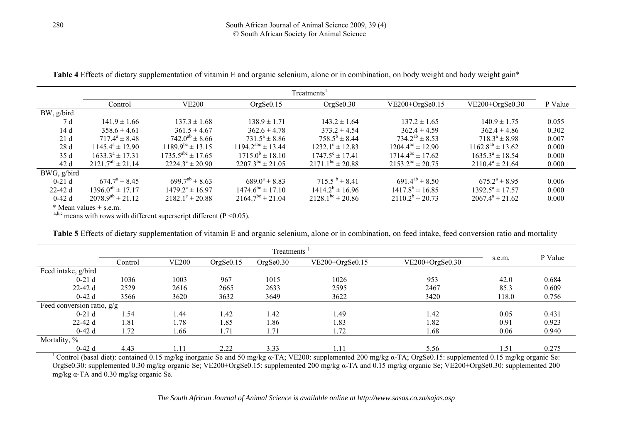| <b>Table 4</b> Effects of dietary supplementation of vitamin E and organic selenium, alone or in combination, on body weight and body weight gain* |  |  |  |
|----------------------------------------------------------------------------------------------------------------------------------------------------|--|--|--|
|                                                                                                                                                    |  |  |  |

|             | Treatments <sup>1</sup>    |                                 |                                    |                               |                         |                         |         |  |  |  |
|-------------|----------------------------|---------------------------------|------------------------------------|-------------------------------|-------------------------|-------------------------|---------|--|--|--|
|             | Control                    | <b>VE200</b>                    | OrgSe <sub>0.15</sub>              | OrgSe <sub>0.30</sub>         | $VE200+OrgSe0.15$       | $VE200+OrgSe0.30$       | P Value |  |  |  |
| BW, g/bird  |                            |                                 |                                    |                               |                         |                         |         |  |  |  |
| 7 d         | $141.9 \pm 1.66$           | $137.3 \pm 1.68$                | $138.9 \pm 1.71$                   | $143.2 \pm 1.64$              | $137.2 \pm 1.65$        | $140.9 \pm 1.75$        | 0.055   |  |  |  |
| 14d         | $358.6 \pm 4.61$           | $361.5 \pm 4.67$                | $362.6 \pm 4.78$                   | $373.2 \pm 4.54$              | $362.4 \pm 4.59$        | $362.4 \pm 4.86$        | 0.302   |  |  |  |
| 21d         | $717.4^a \pm 8.48$         | $742.0^{ab} \pm 8.66$           | $731.5^a \pm 8.86$                 | $758.5^b \pm 8.44$            | $734.2^{ab} \pm 8.53$   | $718.3^a \pm 8.98$      | 0.007   |  |  |  |
| 28d         | $1145.4^{\circ} \pm 12.90$ | $1189.9^{bc} \pm 13.15$         | $1194.2^{abc} \pm 13.44$           | $1232$ $1^{\circ}$ ± 12.83    | $1204.4^{bc} \pm 12.90$ | $1162.8^{ab} \pm 13.62$ | 0.000   |  |  |  |
| 35 d        | $1633.3^a \pm 17.31$       | $1735.5^{\text{abc}} \pm 17.65$ | $1715.0^{\circ} \pm 18.10$         | $1747.5^{\circ} \pm 17.41$    | $1714.4^{bc} \pm 17.62$ | $1635.3^a \pm 18.54$    | 0.000   |  |  |  |
| 42 d        | $2121.7^{ab} \pm 21.14$    | $2224.3^{\circ} \pm 20.90$      | $2207.3^{bc} \pm 21.05$            | $2171.1^{bc} \pm 20.88$       | $2153.2^{bc} \pm 20.75$ | $2110.4^a \pm 21.64$    | 0.000   |  |  |  |
| BWG, g/bird |                            |                                 |                                    |                               |                         |                         |         |  |  |  |
| $0-21d$     | $674.7^{\circ} \pm 8.45$   | $699.7^{ab} \pm 8.63$           | $689.0^a \pm 8.83$                 | $715.5^{\mathrm{b}} \pm 8.41$ | $691.4^{ab} \pm 8.50$   | $675.2^a \pm 8.95$      | 0.006   |  |  |  |
| $22-42d$    | $1396.0^{ab} \pm 17.17$    | $1479.2^{\circ} \pm 16.97$      | $1474.6^{\circ}\text{C} \pm 17.10$ | $1414.2^b \pm 16.96$          | $1417.8^b \pm 16.85$    | $1392.5^a \pm 17.57$    | 0.000   |  |  |  |
| $0-42d$     | $2078.9^{ab} \pm 21.12$    | $2182.1^{\circ} \pm 20.88$      | $2164.7^{\text{bc}} \pm 21.04$     | $2128.1^{bc} \pm 20.86$       | $2110.2^b \pm 20.73$    | $2067.4^a \pm 21.62$    | 0.000   |  |  |  |

 $*$  Mean values  $+$  s.e.m.

 $a,b,c$  means with rows with different superscript different (P < 0.05).

**Table 5** Effects of dietary supplementation of vitamin E and organic selenium, alone or in combination, on feed intake, feed conversion ratio and mortality

| Treatments                   |         |              |                       |                       |                   |                   |        |         |
|------------------------------|---------|--------------|-----------------------|-----------------------|-------------------|-------------------|--------|---------|
|                              | Control | <b>VE200</b> | OrgSe <sub>0.15</sub> | OrgSe <sub>0.30</sub> | $VE200+OrgSe0.15$ | $VE200+OrgSe0.30$ | s.e.m. | P Value |
| Feed intake, g/bird          |         |              |                       |                       |                   |                   |        |         |
| $0-21d$                      | 1036    | 1003         | 967                   | 1015                  | 1026              | 953               | 42.0   | 0.684   |
| $22-42d$                     | 2529    | 2616         | 2665                  | 2633                  | 2595              | 2467              | 85.3   | 0.609   |
| $0-42d$                      | 3566    | 3620         | 3632                  | 3649                  | 3622              | 3420              | 118.0  | 0.756   |
| Feed conversion ratio, $g/g$ |         |              |                       |                       |                   |                   |        |         |
| $0-21d$                      | .54     | 1.44         | 1.42                  | l.42                  | 1.49              | 1.42              | 0.05   | 0.431   |
| $22-42d$                     | .81     | 1.78         | 1.85                  | .86                   | 1.83              | 1.82              | 0.91   | 0.923   |
| $0-42d$                      | 1.72    | .66          | 1.71                  | 1.71                  | 1.72              | 1.68              | 0.06   | 0.940   |
| Mortality, %                 |         |              |                       |                       |                   |                   |        |         |
| $0-42d$                      | 4.43    | 1.11         | 2.22                  | 3.33                  | 1.11              | 5.56              | 1.51   | 0.275   |

<sup>1</sup> Control (basal diet): contained 0.15 mg/kg inorganic Se and 50 mg/kg α-TA; VE200: supplemented 200 mg/kg α-TA; OrgSe0.15: supplemented 0.15 mg/kg organic Se: OrgSe0.30: supplemented 0.30 mg/kg organic Se; VE200+OrgSe0.15: supplemented 200 mg/kg α-TA and 0.15 mg/kg organic Se; VE200+OrgSe0.30: supplemented 200 mg/kg α-TA and 0.30 mg/kg organic Se.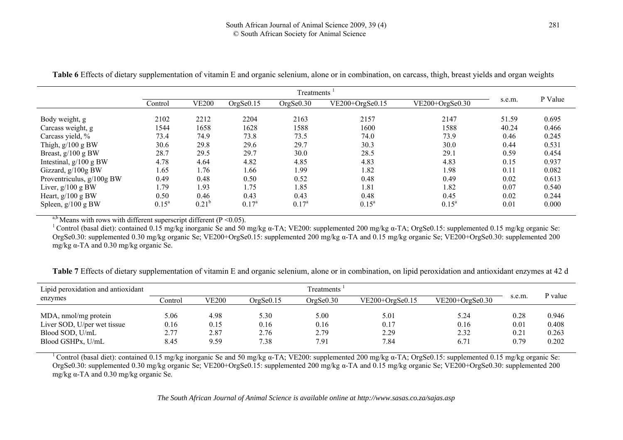|                             | Treatments |              |                       |                       |                                        |          |       |         |
|-----------------------------|------------|--------------|-----------------------|-----------------------|----------------------------------------|----------|-------|---------|
|                             | Control    | <b>VE200</b> | OrgSe <sub>0.15</sub> | OrgSe <sub>0.30</sub> | $VE200+OrgSe0.30$<br>$VE200+OrgSe0.15$ |          |       | P Value |
|                             |            |              |                       |                       |                                        |          |       |         |
| Body weight, g              | 2102       | 2212         | 2204                  | 2163                  | 2157                                   | 2147     | 51.59 | 0.695   |
| Carcass weight, g           | 1544       | 1658         | 1628                  | 1588                  | 1600                                   | 1588     | 40.24 | 0.466   |
| Carcass yield, %            | 73.4       | 74.9         | 73.8                  | 73.5                  | 74.0                                   | 73.9     | 0.46  | 0.245   |
| Thigh, $g/100$ g BW         | 30.6       | 29.8         | 29.6                  | 29.7                  | 30.3                                   | 30.0     | 0.44  | 0.531   |
| Breast, g/100 g BW          | 28.7       | 29.5         | 29.7                  | 30.0                  | 28.5                                   | 29.1     | 0.59  | 0.454   |
| Intestinal, $g/100$ g BW    | 4.78       | 4.64         | 4.82                  | 4.85                  | 4.83                                   | 4.83     | 0.15  | 0.937   |
| Gizzard, g/100g BW          | 1.65       | 1.76         | 1.66                  | 1.99                  | 1.82                                   | 1.98     | 0.11  | 0.082   |
| Proventriculus, $g/100g$ BW | 0.49       | 0.48         | 0.50                  | 0.52                  | 0.48                                   | 0.49     | 0.02  | 0.613   |
| Liver, $g/100 gBW$          | 1.79       | .93          | 1.75                  | 1.85                  | 1.81                                   | 1.82     | 0.07  | 0.540   |
| Heart, $g/100$ g BW         | 0.50       | 0.46         | 0.43                  | 0.43                  | 0.48                                   | 0.45     | 0.02  | 0.244   |
| Spleen, g/100 g BW          | $0.15^a$   | $0.21^{b}$   | $0.17^{\rm a}$        | $0.17^{\rm a}$        | $0.15^a$                               | $0.15^a$ | 0.01  | 0.000   |

**Table 6** Effects of dietary supplementation of vitamin E and organic selenium, alone or in combination, on carcass, thigh, breast yields and organ weights

<sup>a,b</sup> Means with rows with different superscript different ( $P \le 0.05$ ).

<sup>1</sup> Control (basal diet): contained 0.15 mg/kg inorganic Se and 50 mg/kg α-TA; VE200: supplemented 200 mg/kg α-TA; OrgSe0.15: supplemented 0.15 mg/kg organic Se: OrgSe0.30: supplemented 0.30 mg/kg organic Se; VE200+OrgSe0.15: supplemented 200 mg/kg α-TA and 0.15 mg/kg organic Se; VE200+OrgSe0.30: supplemented 200 mg/kg α-TA and 0.30 mg/kg organic Se.

**Table 7** Effects of dietary supplementation of vitamin E and organic selenium, alone or in combination, on lipid peroxidation and antioxidant enzymes at 42 d

| Lipid peroxidation and antioxidant                                                          | Treatments                   |                              |                              |                              |                              |                              |                              |                                  |
|---------------------------------------------------------------------------------------------|------------------------------|------------------------------|------------------------------|------------------------------|------------------------------|------------------------------|------------------------------|----------------------------------|
| enzymes                                                                                     | Control                      | <b>VE200</b>                 | OrgSe0.15                    | $Or\epsilon$ Se $0.30$       | $VE200+OrgSe0.15$            | $VE200+OrgSe0.30$            | s.e.m.                       | P value                          |
| MDA, nmol/mg protein<br>Liver SOD, U/per wet tissue<br>Blood SOD, U/mL<br>Blood GSHPx, U/mL | 5.06<br>0.16<br>2.77<br>8.45 | 4.98<br>0.15<br>2.87<br>9.59 | 5.30<br>0.16<br>2.76<br>7.38 | 5.00<br>0.16<br>2.79<br>7.91 | 5.01<br>0.17<br>2.29<br>7.84 | 5.24<br>0.16<br>2.32<br>6.71 | 0.28<br>0.01<br>0.21<br>0.79 | 0.946<br>0.408<br>0.263<br>0.202 |

<sup>1</sup> Control (basal diet): contained 0.15 mg/kg inorganic Se and 50 mg/kg α-TA; VE200: supplemented 200 mg/kg α-TA; OrgSe0.15: supplemented 0.15 mg/kg organic Se: OrgSe0.30: supplemented 0.30 mg/kg organic Se; VE200+OrgSe0.15: supplemented 200 mg/kg α-TA and 0.15 mg/kg organic Se; VE200+OrgSe0.30: supplemented 200 mg/kg α-TA and 0.30 mg/kg organic Se.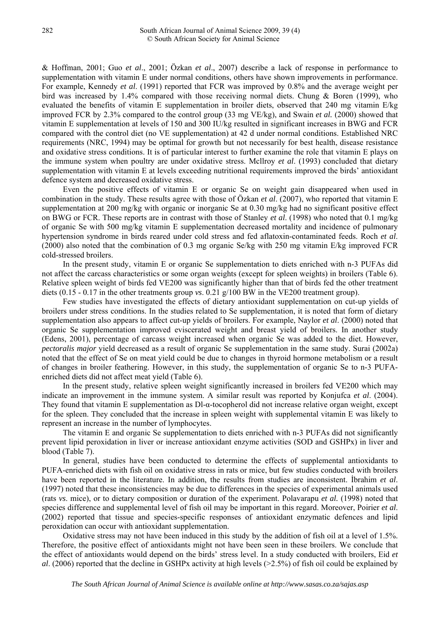& Hoffman, 2001; Guo *et al*., 2001; Özkan *et al*., 2007) describe a lack of response in performance to supplementation with vitamin E under normal conditions, others have shown improvements in performance. For example, Kennedy *et al*. (1991) reported that FCR was improved by 0.8% and the average weight per bird was increased by 1.4% compared with those receiving normal diets. Chung & Boren (1999), who evaluated the benefits of vitamin E supplementation in broiler diets, observed that 240 mg vitamin E/kg improved FCR by 2.3% compared to the control group (33 mg VE/kg), and Swain *et al.* (2000) showed that vitamin E supplementation at levels of 150 and 300 IU/kg resulted in significant increases in BWG and FCR compared with the control diet (no VE supplementation) at 42 d under normal conditions. Established NRC requirements (NRC, 1994) may be optimal for growth but not necessarily for best health, disease resistance and oxidative stress conditions. It is of particular interest to further examine the role that vitamin E plays on the immune system when poultry are under oxidative stress. Mcllroy *et al*. (1993) concluded that dietary supplementation with vitamin E at levels exceeding nutritional requirements improved the birds' antioxidant defence system and decreased oxidative stress.

Even the positive effects of vitamin E or organic Se on weight gain disappeared when used in combination in the study. These results agree with those of Özkan *et al*. (2007), who reported that vitamin E supplementation at 200 mg/kg with organic or inorganic Se at 0.30 mg/kg had no significant positive effect on BWG or FCR. These reports are in contrast with those of Stanley *et al*. (1998) who noted that 0.1 mg/kg of organic Se with 500 mg/kg vitamin E supplementation decreased mortality and incidence of pulmonary hypertension syndrome in birds reared under cold stress and fed aflatoxin-contaminated feeds. Roch *et al*. (2000) also noted that the combination of 0.3 mg organic Se/kg with 250 mg vitamin E/kg improved FCR cold-stressed broilers.

In the present study, vitamin E or organic Se supplementation to diets enriched with n-3 PUFAs did not affect the carcass characteristics or some organ weights (except for spleen weights) in broilers (Table 6). Relative spleen weight of birds fed VE200 was significantly higher than that of birds fed the other treatment diets (0.15 - 0.17 in the other treatments group *vs*. 0.21 g/100 BW in the VE200 treatment group).

Few studies have investigated the effects of dietary antioxidant supplementation on cut-up yields of broilers under stress conditions. In the studies related to Se supplementation, it is noted that form of dietary supplementation also appears to affect cut-up yields of broilers. For example, Naylor *et al*. (2000) noted that organic Se supplementation improved eviscerated weight and breast yield of broilers. In another study (Edens, 2001), percentage of carcass weight increased when organic Se was added to the diet. However, *pectoralis major* yield decreased as a result of organic Se supplementation in the same study. Surai (2002a) noted that the effect of Se on meat yield could be due to changes in thyroid hormone metabolism or a result of changes in broiler feathering. However, in this study, the supplementation of organic Se to n-3 PUFAenriched diets did not affect meat yield (Table 6).

In the present study, relative spleen weight significantly increased in broilers fed VE200 which may indicate an improvement in the immune system. A similar result was reported by Konjufca *et al*. (2004). They found that vitamin E supplementation as Dl-α-tocopherol did not increase relative organ weight, except for the spleen. They concluded that the increase in spleen weight with supplemental vitamin E was likely to represent an increase in the number of lymphocytes.

The vitamin E and organic Se supplementation to diets enriched with n-3 PUFAs did not significantly prevent lipid peroxidation in liver or increase antioxidant enzyme activities (SOD and GSHPx) in liver and blood (Table 7).

In general, studies have been conducted to determine the effects of supplemental antioxidants to PUFA-enriched diets with fish oil on oxidative stress in rats or mice, but few studies conducted with broilers have been reported in the literature. In addition, the results from studies are inconsistent. İbrahim *et al*. (1997) noted that these inconsistencies may be due to differences in the species of experimental animals used (rats *vs*. mice), or to dietary composition or duration of the experiment. Polavarapu *et al.* (1998) noted that species difference and supplemental level of fish oil may be important in this regard. Moreover, Poirier *et al*. (2002) reported that tissue and species-specific responses of antioxidant enzymatic defences and lipid peroxidation can occur with antioxidant supplementation.

Oxidative stress may not have been induced in this study by the addition of fish oil at a level of 1.5%. Therefore, the positive effect of antioxidants might not have been seen in these broilers. We conclude that the effect of antioxidants would depend on the birds' stress level. In a study conducted with broilers, Eid *et al*. (2006) reported that the decline in GSHPx activity at high levels (>2.5%) of fish oil could be explained by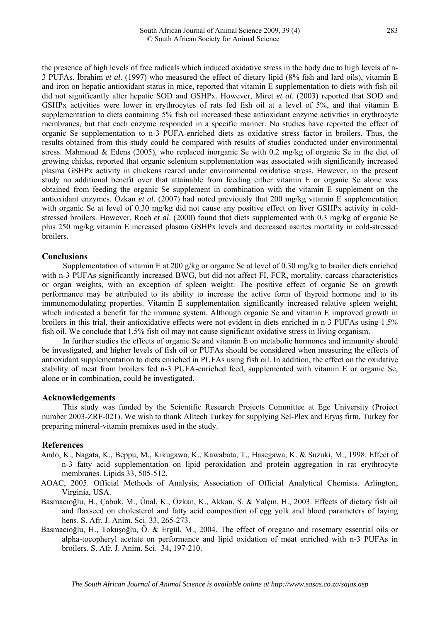the presence of high levels of free radicals which induced oxidative stress in the body due to high levels of n-3 PUFAs. İbrahim *et al*. (1997) who measured the effect of dietary lipid (8% fish and lard oils), vitamin E and iron on hepatic antioxidant status in mice, reported that vitamin E supplementation to diets with fish oil did not significantly alter hepatic SOD and GSHPx. However, Miret *et al*. (2003) reported that SOD and GSHPx activities were lower in erythrocytes of rats fed fish oil at a level of 5%, and that vitamin E supplementation to diets containing 5% fish oil increased these antioxidant enzyme activities in erythrocyte membranes, but that each enzyme responded in a specific manner. No studies have reported the effect of organic Se supplementation to n-3 PUFA-enriched diets as oxidative stress factor in broilers. Thus, the results obtained from this study could be compared with results of studies conducted under environmental stress. Mahmoud & Edens (2005), who replaced inorganic Se with 0.2 mg/kg of organic Se in the diet of growing chicks, reported that organic selenium supplementation was associated with significantly increased plasma GSHPx activity in chickens reared under environmental oxidative stress. However, in the present study no additional benefit over that attainable from feeding either vitamin E or organic Se alone was obtained from feeding the organic Se supplement in combination with the vitamin E supplement on the antioxidant enzymes. Özkan *et al*. (2007) had noted previously that 200 mg/kg vitamin E supplementation with organic Se at level of 0.30 mg/kg did not cause any positive effect on liver GSHPx activity in coldstressed broilers. However, Roch *et al*. (2000) found that diets supplemented with 0.3 mg/kg of organic Se plus 250 mg/kg vitamin E increased plasma GSHPx levels and decreased ascites mortality in cold-stressed broilers.

## **Conclusions**

Supplementation of vitamin E at 200 g/kg or organic Se at level of 0.30 mg/kg to broiler diets enriched with n-3 PUFAs significantly increased BWG, but did not affect FI, FCR, mortality, carcass characteristics or organ weights, with an exception of spleen weight. The positive effect of organic Se on growth performance may be attributed to its ability to increase the active form of thyroid hormone and to its immunomodulating properties. Vitamin E supplementation significantly increased relative spleen weight, which indicated a benefit for the immune system. Although organic Se and vitamin E improved growth in broilers in this trial, their antioxidative effects were not evident in diets enriched in n-3 PUFAs using 1.5% fish oil. We conclude that 1.5% fish oil may not cause significant oxidative stress in living organism.

In further studies the effects of organic Se and vitamin E on metabolic hormones and immunity should be investigated, and higher levels of fish oil or PUFAs should be considered when measuring the effects of antioxidant supplementation to diets enriched in PUFAs using fish oil. In addition, the effect on the oxidative stability of meat from broilers fed n-3 PUFA-enriched feed, supplemented with vitamin E or organic Se, alone or in combination, could be investigated.

#### **Acknowledgements**

This study was funded by the Scientific Research Projects Committee at Ege University (Project number 2003-ZRF-021). We wish to thank Alltech Turkey for supplying Sel-Plex and Eryaş firm, Turkey for preparing mineral-vitamin premixes used in the study.

#### **References**

- Ando, K., Nagata, K., Beppu, M., Kikugawa, K., Kawabata, T., Hasegawa, K. & Suzuki, M., 1998. Effect of n-3 fatty acid supplementation on lipid peroxidation and protein aggregation in rat erythrocyte membranes. Lipids 33, 505-512.
- AOAC, 2005. Official Methods of Analysis, Association of Official Analytical Chemists. Arlington, Virginia, USA.
- Basmacıoğlu, H., Çabuk, M., Ünal, K., Özkan, K., Akkan, S. & Yalçın, H., 2003. Effects of dietary fish oil and flaxseed on cholesterol and fatty acid composition of egg yolk and blood parameters of laying hens. S. Afr. J. Anim. Sci. 33, 265-273.
- Basmacıoğlu, H., Tokuşoğlu, Ö. & Ergül, M., 2004. The effect of oregano and rosemary essential oils or alpha-tocopheryl acetate on performance and lipid oxidation of meat enriched with n-3 PUFAs in broilers. S. Afr. J. Anim. Sci. 34**,** 197-210.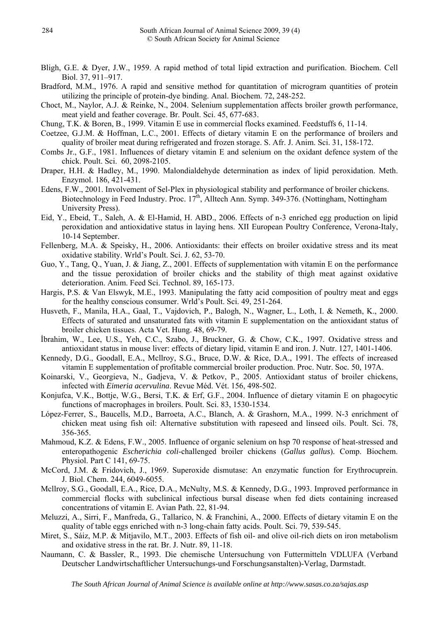- Bligh, G.E. & Dyer, J.W., 1959. A rapid method of total lipid extraction and purification. Biochem. Cell Biol. 37, 911–917.
- Bradford, M.M., 1976. A rapid and sensitive method for quantitation of microgram quantities of protein utilizing the principle of protein-dye binding. Anal. Biochem. 72, 248-252.
- Choct, M., Naylor, A.J. & Reinke, N., 2004. Selenium supplementation affects broiler growth performance, meat yield and feather coverage. Br. Poult. Sci. 45, 677-683.
- Chung, T.K. & Boren, B., 1999. Vitamin E use in commercial flocks examined. Feedstuffs 6, 11-14.
- Coetzee, G.J.M. & Hoffman, L.C., 2001. Effects of dietary vitamin E on the performance of broilers and quality of broiler meat during refrigerated and frozen storage. S. Afr. J. Anim. Sci. 31, 158-172.
- Combs Jr., G.F., 1981. Influences of dietary vitamin E and selenium on the oxidant defence system of the chick. Poult. Sci. 60, 2098-2105.
- Draper, H.H. & Hadley, M., 1990. Malondialdehyde determination as index of lipid peroxidation. Meth. Enzymol. 186, 421-431.
- Edens, F.W., 2001. Involvement of Sel-Plex in physiological stability and performance of broiler chickens. Biotechnology in Feed Industry. Proc.  $17<sup>th</sup>$ , Alltech Ann. Symp. 349-376. (Nottingham, Nottingham University Press).
- Eid, Y., Ebeid, T., Saleh, A. & El-Hamid, H. ABD., 2006. Effects of n-3 enriched egg production on lipid peroxidation and antioxidative status in laying hens. XII European Poultry Conference, Verona-Italy, 10-14 September.
- Fellenberg, M.A. & Speisky, H., 2006. Antioxidants: their effects on broiler oxidative stress and its meat oxidative stability. Wrld's Poult. Sci. J. 62, 53-70.
- Guo, Y., Tang, Q., Yuan, J. & Jiang, Z., 2001. Effects of supplementation with vitamin E on the performance and the tissue peroxidation of broiler chicks and the stability of thigh meat against oxidative deterioration. Anim. Feed Sci. Technol. 89, 165-173.
- Hargis, P.S. & Van Elswyk, M.E., 1993. Manipulating the fatty acid composition of poultry meat and eggs for the healthy conscious consumer. Wrld's Poult. Sci. 49, 251-264.
- Husveth, F., Manila, H.A., Gaal, T., Vajdovich, P., Balogh, N., Wagner, L., Loth, I. & Nemeth, K., 2000. Effects of saturated and unsaturated fats with vitamin E supplementation on the antioxidant status of broiler chicken tissues. Acta Vet. Hung. 48, 69-79.
- İbrahim, W., Lee, U.S., Yeh, C.C., Szabo, J., Bruckner, G. & Chow, C.K., 1997. Oxidative stress and antioxidant status in mouse liver: effects of dietary lipid, vitamin E and iron. J. Nutr. 127, 1401-1406.
- Kennedy, D.G., Goodall, E.A., Mcllroy, S.G., Bruce, D.W. & Rice, D.A., 1991. The effects of increased vitamin E supplementation of profitable commercial broiler production. Proc. Nutr. Soc*.* 50, 197A.
- Koinarski, V., Georgieva, N., Gadjeva, V. & Petkov, P., 2005. Antioxidant status of broiler chickens, infected with *Eimeria acervulina*. Revue Méd. Vét. 156, 498-502.
- Konjufca, V.K., Bottje, W.G., Bersi, T.K. & Erf, G.F., 2004. Influence of dietary vitamin E on phagocytic functions of macrophages in broilers. Poult. Sci. 83, 1530-1534.
- López-Ferrer, S., Baucells, M.D., Barroeta, A.C., Blanch, A. & Grashorn, M.A., 1999. N-3 enrichment of chicken meat using fish oil: Alternative substitution with rapeseed and linseed oils. Poult. Sci. 78, 356-365.
- Mahmoud, K.Z. & Edens, F.W., 2005. Influence of organic selenium on hsp 70 response of heat-stressed and enteropathogenic *Escherichia coli*-challenged broiler chickens (*Gallus gallus*). Comp. Biochem. Physiol. Part C 141, 69-75.
- McCord, J.M. & Fridovich, J., 1969. Superoxide dismutase: An enzymatic function for Erythrocuprein. J. Biol. Chem. 244, 6049-6055.
- Mcllroy, S.G., Goodall, E.A., Rice, D.A., McNulty, M.S. & Kennedy, D.G., 1993. Improved performance in commercial flocks with subclinical infectious bursal disease when fed diets containing increased concentrations of vitamin E. Avian Path. 22, 81-94.
- Meluzzi, A., Sirri, F., Manfreda, G., Tallarico, N. & Franchini, A., 2000. Effects of dietary vitamin E on the quality of table eggs enriched with n-3 long-chain fatty acids. Poult. Sci. 79, 539-545.
- Miret, S., Sáiz, M.P. & Mitjavilo, M.T., 2003. Effects of fish oil- and olive oil-rich diets on iron metabolism and oxidative stress in the rat. Br. J. Nutr. 89, 11-18.
- Naumann, C. & Bassler, R., 1993. Die chemische Untersuchung von Futtermitteln VDLUFA (Verband Deutscher Landwirtschaftlicher Untersuchungs-und Forschungsanstalten)-Verlag, Darmstadt.